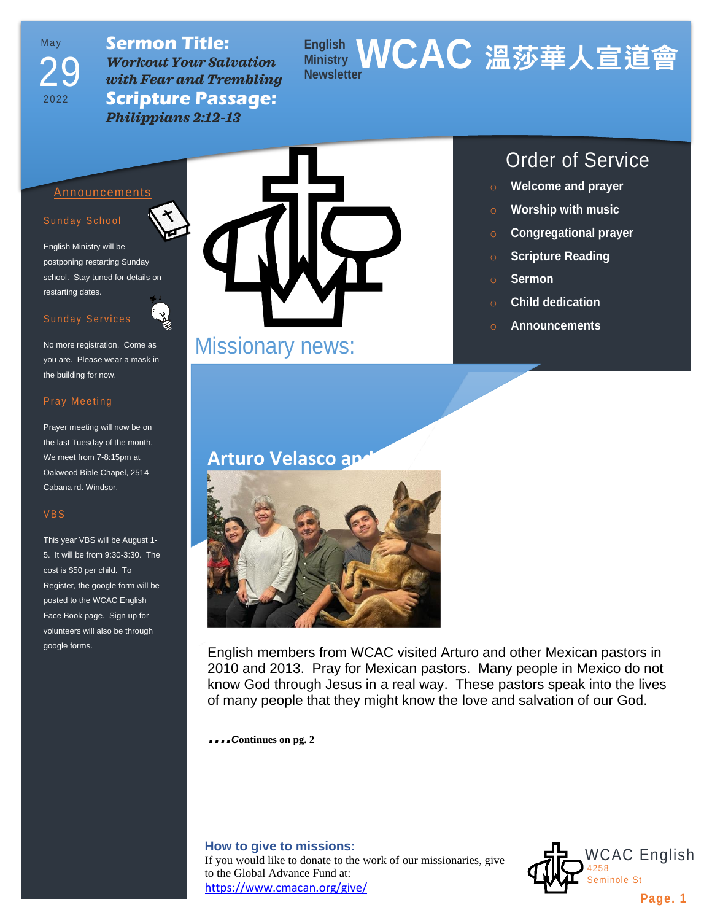May 2022 29

**Sermon Title:** *Workout Your Salvation with Fear and Trembling*  **Scripture Passage:** *Philippians 2:12-13*

# **English Ministry WCAC 溫莎華人宣道會 Newsletter**

# Announcements

## Sunday School

English Ministry will be postponing restarting Sunday school. Stay tuned for details on restarting dates.

## Sunday Services

No more registration. Come as you are. Please wear a mask in the building for now.

#### Pray Meeting

Prayer meeting will now be on the last Tuesday of the month. We meet from 7-8:15pm at Oakwood Bible Chapel, 2514 Cabana rd. Windsor.

#### VBS

This year VBS will be August 1- 5. It will be from 9:30-3:30. The cost is \$50 per child. To Register, the google form will be posted to the WCAC English Face Book page. Sign up for volunteers will also be through google forms.



Missionary news:

# **Arturo Velasco an**



English members from WCAC visited Arturo and other Mexican pastors in 2010 and 2013. Pray for Mexican pastors. Many people in Mexico do not know God through Jesus in a real way. These pastors speak into the lives of many people that they might know the love and salvation of our God.

*….<sup>C</sup>***ontinues on pg. 2**

# **How to give to missions:**

If you would like to donate to the work of our missionaries, give to the Global Advance Fund at: <https://www.cmacan.org/give/>





- o **Welcome and prayer**
- o **Worship with music**
- o **Congregational prayer**
- o **Scripture Reading**
- o **Sermon**
- o **Child dedication**
- o **Announcements**